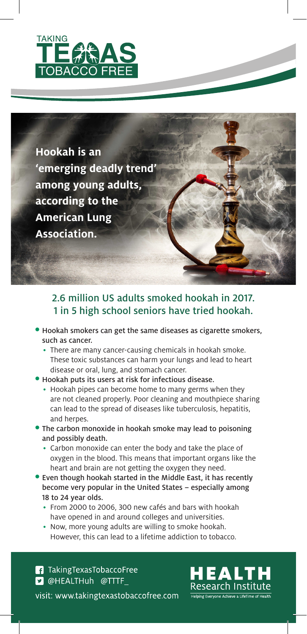

**Hookah is an 'emerging deadly trend' among young adults, according to the American Lung Association.** 

## 2.6 million US adults smoked hookah in 2017. 1 in 5 high school seniors have tried hookah.

- Hookah smokers can get the same diseases as cigarette smokers, such as cancer.
	- There are many cancer-causing chemicals in hookah smoke. These toxic substances can harm your lungs and lead to heart disease or oral, lung, and stomach cancer.
- Hookah puts its users at risk for infectious disease.
	- Hookah pipes can become home to many germs when they are not cleaned properly. Poor cleaning and mouthpiece sharing can lead to the spread of diseases like tuberculosis, hepatitis, and herpes.
- The carbon monoxide in hookah smoke may lead to poisoning and possibly death.
	- Carbon monoxide can enter the body and take the place of oxygen in the blood. This means that important organs like the heart and brain are not getting the oxygen they need.
- Even though hookah started in the Middle East, it has recently become very popular in the United States – especially among 18 to 24 year olds.
	- From 2000 to 2006, 300 new cafés and bars with hookah have opened in and around colleges and universities.
	- Now, more young adults are willing to smoke hookah. However, this can lead to a lifetime addiction to tobacco.

**f** Taking Texas Tobacco Free **D** @HEALTHuh @TTTF visit: www.takingtexastobaccofree.com